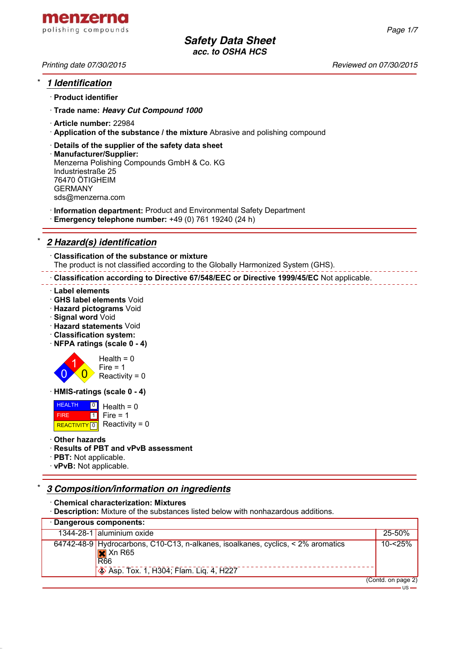

## \* *1 Identification*

· **Product identifier**

· **Trade name:** *Heavy Cut Compound 1000*

- · **Article number:** 22984
- · **Application of the substance / the mixture** Abrasive and polishing compound
- · **Details of the supplier of the safety data sheet**
- · **Manufacturer/Supplier:** Menzerna Polishing Compounds GmbH & Co. KG Industriestraße 25 76470 ÖTIGHEIM GERMANY sds@menzerna.com
- · **Information department:** Product and Environmental Safety Department
- · **Emergency telephone number:** +49 (0) 761 19240 (24 h)

## \* *2 Hazard(s) identification*

· **Classification of the substance or mixture** The product is not classified according to the Globally Harmonized System (GHS).

· **Classification according to Directive 67/548/EEC or Directive 1999/45/EC** Not applicable.

- · **Label elements**
- · **GHS label elements** Void
- · **Hazard pictograms** Void
- · **Signal word** Void
- · **Hazard statements** Void
- · **Classification system:**
- · **NFPA ratings (scale 0 4)**



· **HMIS-ratings (scale 0 - 4)**

 HEALTH FIRE **REACTIVITY** 0  $\overline{\phantom{a}}$ 1 Health  $= 0$  $Fire = 1$ Reactivity =  $0$ 

### · **Other hazards**

- · **Results of PBT and vPvB assessment**
- · **PBT:** Not applicable.
- · **vPvB:** Not applicable.

## \* *3 Composition/information on ingredients*

· **Chemical characterization: Mixtures**

· **Description:** Mixture of the substances listed below with nonhazardous additions.

| · Dangerous components: |                                                                                                                                                                            |                    |  |
|-------------------------|----------------------------------------------------------------------------------------------------------------------------------------------------------------------------|--------------------|--|
|                         | 1344-28-1 aluminium oxide                                                                                                                                                  | $25 - 50%$         |  |
|                         | $64742-48-9$ Hydrocarbons, C10-C13, n-alkanes, isoalkanes, cyclics, < 2% aromatics<br>$\mathsf{X}$ Xn R65<br><b>R66</b><br>$\otimes$ Asp. Tox. 1, H304; Flam. Lig. 4, H227 | $10 - 25%$         |  |
|                         |                                                                                                                                                                            | (Contd. on page 2) |  |

*Printing date 07/30/2015 Reviewed on 07/30/2015*

 $US -$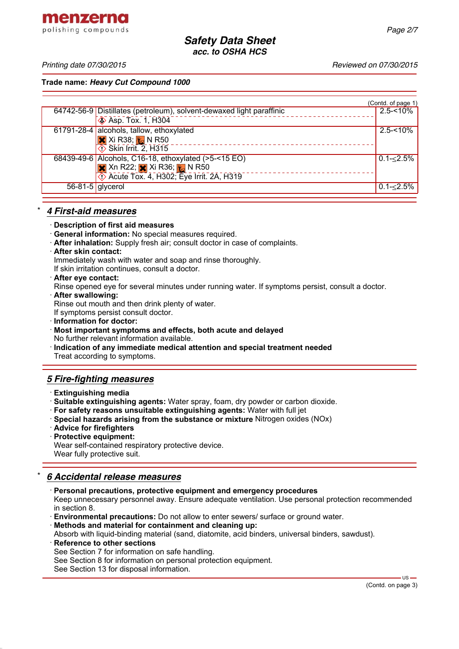menzerna polishing compounds

*Printing date 07/30/2015 Reviewed on 07/30/2015*

**Trade name:** *Heavy Cut Compound 1000*

|                    |                                                                      | (Contd. of page 1) |
|--------------------|----------------------------------------------------------------------|--------------------|
|                    | 64742-56-9 Distillates (petroleum), solvent-dewaxed light paraffinic | $2.5 - 10\%$       |
|                    | <b>Asp. Tox. 1, H304</b>                                             |                    |
|                    | 61791-28-4 alcohols, tallow, ethoxylated                             | $2.5 - 10%$        |
|                    | $\overline{\mathsf{x}}$ Xi R38; $\overline{\mathsf{x}}$ N R50        |                    |
|                    | $\overline{\textcircled{1}}$ Skin Irrit. 2, H315                     |                    |
|                    | 68439-49-6 Alcohols, C16-18, ethoxylated (>5-<15 EO)                 | $0.1 - 2.5\%$      |
|                    | $\mathsf{X}$ Xn R22; $\mathsf{X}$ Xi R36; $\mathsf{Y}$ N R50         |                    |
|                    | <b>Eye Irrit. 2A, H302; Eye Irrit. 2A, H319</b>                      |                    |
| $56-81-5$ glycerol |                                                                      | $0.1 - \le 2.5\%$  |
|                    |                                                                      |                    |

## \* *4 First-aid measures*

- · **Description of first aid measures**
- · **General information:** No special measures required.
- · **After inhalation:** Supply fresh air; consult doctor in case of complaints.
- · **After skin contact:**

Immediately wash with water and soap and rinse thoroughly.

If skin irritation continues, consult a doctor.

- · **After eye contact:**
- Rinse opened eye for several minutes under running water. If symptoms persist, consult a doctor.
- · **After swallowing:**

Rinse out mouth and then drink plenty of water.

If symptoms persist consult doctor.

- · **Information for doctor:**
- · **Most important symptoms and effects, both acute and delayed** No further relevant information available.
- · **Indication of any immediate medical attention and special treatment needed** Treat according to symptoms.

## *5 Fire-fighting measures*

- · **Extinguishing media**
- · **Suitable extinguishing agents:** Water spray, foam, dry powder or carbon dioxide.
- · **For safety reasons unsuitable extinguishing agents:** Water with full jet
- · **Special hazards arising from the substance or mixture** Nitrogen oxides (NOx)
- · **Advice for firefighters**
- · **Protective equipment:**

Wear self-contained respiratory protective device. Wear fully protective suit.

# \* *6 Accidental release measures*

· **Personal precautions, protective equipment and emergency procedures** Keep unnecessary personnel away. Ensure adequate ventilation. Use personal protection recommended in section 8.

· **Environmental precautions:** Do not allow to enter sewers/ surface or ground water.

· **Methods and material for containment and cleaning up:**

Absorb with liquid-binding material (sand, diatomite, acid binders, universal binders, sawdust).

- **Reference to other sections** See Section 7 for information on safe handling. See Section 8 for information on personal protection equipment.
- See Section 13 for disposal information.

 $US -$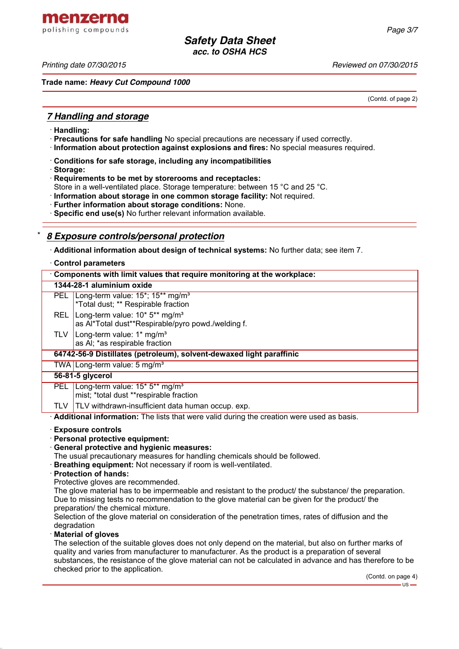menzerna polishing compounds

*Printing date 07/30/2015 Reviewed on 07/30/2015*

**Trade name:** *Heavy Cut Compound 1000*

(Contd. of page 2)

## *7 Handling and storage*

- · **Handling:**
- · **Precautions for safe handling** No special precautions are necessary if used correctly.
- · **Information about protection against explosions and fires:** No special measures required.
- · **Conditions for safe storage, including any incompatibilities**
- · **Storage:**
- · **Requirements to be met by storerooms and receptacles:**
- Store in a well-ventilated place. Storage temperature: between 15 °C and 25 °C.
- · **Information about storage in one common storage facility:** Not required.
- · **Further information about storage conditions:** None.
- · **Specific end use(s)** No further relevant information available.

## \* *8 Exposure controls/personal protection*

· **Additional information about design of technical systems:** No further data; see item 7.

### · **Control parameters**

| Components with limit values that require monitoring at the workplace: |                                                                                                              |  |  |  |
|------------------------------------------------------------------------|--------------------------------------------------------------------------------------------------------------|--|--|--|
|                                                                        | 1344-28-1 aluminium oxide                                                                                    |  |  |  |
| <b>PEL</b>                                                             | Long-term value: 15 <sup>*</sup> ; 15 <sup>**</sup> mg/m <sup>3</sup><br>*Total dust; ** Respirable fraction |  |  |  |
| <b>REL</b>                                                             | Long-term value: $10*5**$ mg/m <sup>3</sup><br>as Al*Total dust**Respirable/pyro powd./welding f.            |  |  |  |
| TLV.                                                                   | Long-term value: $1*$ mg/m <sup>3</sup><br>as AI; *as respirable fraction                                    |  |  |  |
| 64742-56-9 Distillates (petroleum), solvent-dewaxed light paraffinic   |                                                                                                              |  |  |  |
|                                                                        | TWA   Long-term value: 5 mg/m <sup>3</sup>                                                                   |  |  |  |
|                                                                        | 56-81-5 glycerol                                                                                             |  |  |  |
| <b>PEL</b>                                                             | Long-term value: 15* 5** mg/m <sup>3</sup><br>mist; *total dust **respirable fraction                        |  |  |  |
| TLV.                                                                   | <b>TLV</b> withdrawn-insufficient data human occup. exp.                                                     |  |  |  |

· **Additional information:** The lists that were valid during the creation were used as basis.

### · **Exposure controls**

- · **Personal protective equipment:**
- · **General protective and hygienic measures:**
- The usual precautionary measures for handling chemicals should be followed.
- · **Breathing equipment:** Not necessary if room is well-ventilated.
- · **Protection of hands:**

Protective gloves are recommended.

The glove material has to be impermeable and resistant to the product/ the substance/ the preparation. Due to missing tests no recommendation to the glove material can be given for the product/ the preparation/ the chemical mixture.

Selection of the glove material on consideration of the penetration times, rates of diffusion and the degradation

### · **Material of gloves**

The selection of the suitable gloves does not only depend on the material, but also on further marks of quality and varies from manufacturer to manufacturer. As the product is a preparation of several substances, the resistance of the glove material can not be calculated in advance and has therefore to be checked prior to the application.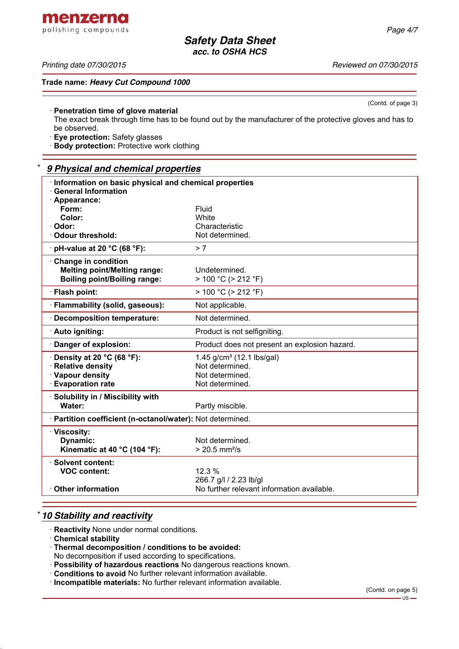(Contd. of page 3)

*Safety Data Sheet acc. to OSHA HCS*

*Printing date 07/30/2015 Reviewed on 07/30/2015*

**Trade name:** *Heavy Cut Compound 1000*

### · **Penetration time of glove material**

The exact break through time has to be found out by the manufacturer of the protective gloves and has to be observed.

· **Eye protection:** Safety glasses

· **Body protection:** Protective work clothing

### \* *9 Physical and chemical properties*

| Information on basic physical and chemical properties<br><b>General Information</b> |                                               |
|-------------------------------------------------------------------------------------|-----------------------------------------------|
| · Appearance:                                                                       |                                               |
| Form:                                                                               | Fluid                                         |
| Color:                                                                              | <b>White</b>                                  |
| · Odor:                                                                             | Characteristic                                |
| Odour threshold:                                                                    | Not determined.                               |
| $\cdot$ pH-value at 20 °C (68 °F):                                                  | > 7                                           |
| Change in condition                                                                 |                                               |
| <b>Melting point/Melting range:</b>                                                 | Undetermined.                                 |
| <b>Boiling point/Boiling range:</b>                                                 | > 100 °C (> 212 °F)                           |
| · Flash point:                                                                      | $> 100 °C$ ( $> 212 °F$ )                     |
| · Flammability (solid, gaseous):                                                    | Not applicable.                               |
| Decomposition temperature:                                                          | Not determined.                               |
| · Auto igniting:                                                                    | Product is not selfigniting.                  |
| Danger of explosion:                                                                | Product does not present an explosion hazard. |
| Density at 20 °C (68 °F):                                                           | 1.45 g/cm <sup>3</sup> (12.1 lbs/gal)         |
| · Relative density                                                                  | Not determined.                               |
| · Vapour density                                                                    | Not determined.                               |
| <b>Evaporation rate</b>                                                             | Not determined.                               |
| · Solubility in / Miscibility with                                                  |                                               |
| Water:                                                                              | Partly miscible.                              |
| · Partition coefficient (n-octanol/water): Not determined.                          |                                               |
| · Viscosity:                                                                        |                                               |
| Dynamic:                                                                            | Not determined.                               |
| Kinematic at 40 °C (104 °F):                                                        | $> 20.5$ mm <sup>2</sup> /s                   |
| · Solvent content:                                                                  |                                               |
| <b>VOC content:</b>                                                                 | 12.3 %                                        |
|                                                                                     | 266.7 g/l / 2.23 lb/gl                        |
| <b>Other information</b>                                                            | No further relevant information available.    |

## \* *10 Stability and reactivity*

- · **Reactivity** None under normal conditions.
- · **Chemical stability**
- · **Thermal decomposition / conditions to be avoided:**

No decomposition if used according to specifications.

- · **Possibility of hazardous reactions** No dangerous reactions known.
- · **Conditions to avoid** No further relevant information available.
- · **Incompatible materials:** No further relevant information available.

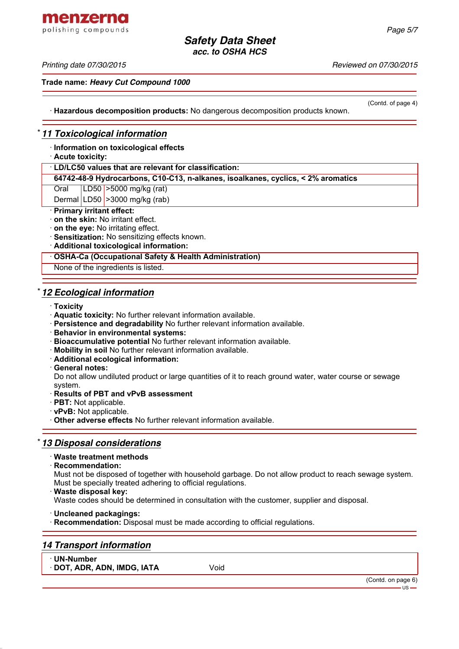### *Printing date 07/30/2015 Reviewed on 07/30/2015*

**Trade name:** *Heavy Cut Compound 1000*

(Contd. of page 4)

· **Hazardous decomposition products:** No dangerous decomposition products known.

## \* *11 Toxicological information*

· **Information on toxicological effects**

· **Acute toxicity:**

· **LD/LC50 values that are relevant for classification:**

**64742-48-9 Hydrocarbons, C10-C13, n-alkanes, isoalkanes, cyclics, < 2% aromatics**

Oral LD50 >5000 mg/kg (rat)

Dermal LD50 >3000 mg/kg (rab)

### · **Primary irritant effect:**

· **on the skin:** No irritant effect.

- · **on the eye:** No irritating effect.
- · **Sensitization:** No sensitizing effects known.
- · **Additional toxicological information:**

· **OSHA-Ca (Occupational Safety & Health Administration)**

None of the ingredients is listed.

## \* *12 Ecological information*

- · **Toxicity**
- · **Aquatic toxicity:** No further relevant information available.
- · **Persistence and degradability** No further relevant information available.
- · **Behavior in environmental systems:**
- · **Bioaccumulative potential** No further relevant information available.
- · **Mobility in soil** No further relevant information available.
- · **Additional ecological information:**
- · **General notes:**

Do not allow undiluted product or large quantities of it to reach ground water, water course or sewage system.

- · **Results of PBT and vPvB assessment**
- · **PBT:** Not applicable.
- · **vPvB:** Not applicable.

· **Other adverse effects** No further relevant information available.

## \* *13 Disposal considerations*

## · **Waste treatment methods**

· **Recommendation:**

Must not be disposed of together with household garbage. Do not allow product to reach sewage system. Must be specially treated adhering to official regulations.

· **Waste disposal key:**

Waste codes should be determined in consultation with the customer, supplier and disposal.

· **Uncleaned packagings:**

· **Recommendation:** Disposal must be made according to official regulations.

## *14 Transport information*

· **UN-Number**

· **DOT, ADR, ADN, IMDG, IATA** Void

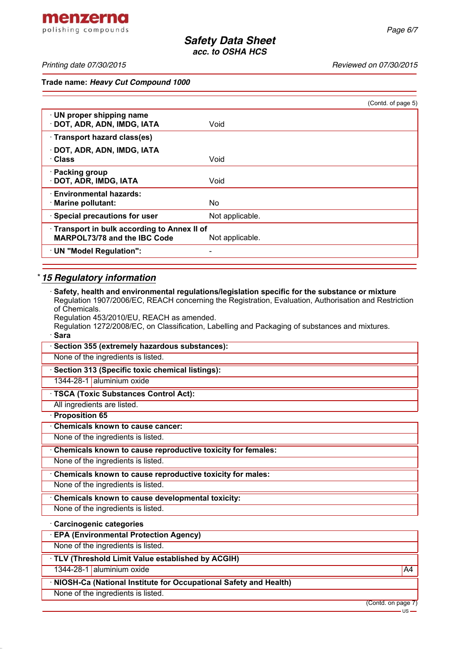menzerna polishing compounds

*Printing date 07/30/2015 Reviewed on 07/30/2015*

**Trade name:** *Heavy Cut Compound 1000*

|                                                                                   |                 | (Contd. of page 5) |
|-----------------------------------------------------------------------------------|-----------------|--------------------|
| · UN proper shipping name<br>DOT, ADR, ADN, IMDG, IATA                            | Void            |                    |
| · Transport hazard class(es)                                                      |                 |                    |
| · DOT, ADR, ADN, IMDG, IATA<br>· Class                                            | Void            |                    |
| · Packing group<br>· DOT, ADR, IMDG, IATA                                         | Void            |                    |
| · Environmental hazards:<br>· Marine pollutant:                                   | No.             |                    |
| · Special precautions for user                                                    | Not applicable. |                    |
| Transport in bulk according to Annex II of<br><b>MARPOL73/78 and the IBC Code</b> | Not applicable. |                    |
| · UN "Model Regulation":                                                          | ۰               |                    |
|                                                                                   |                 |                    |

# \* *15 Regulatory information*

| Safety, health and environmental regulations/legislation specific for the substance or mixture<br>Requlation 1907/2006/EC, REACH concerning the Registration, Evaluation, Authorisation and Restriction |
|---------------------------------------------------------------------------------------------------------------------------------------------------------------------------------------------------------|
| of Chemicals.                                                                                                                                                                                           |
| Regulation 453/2010/EU, REACH as amended.<br>Regulation 1272/2008/EC, on Classification, Labelling and Packaging of substances and mixtures.                                                            |
| · Sara                                                                                                                                                                                                  |
| · Section 355 (extremely hazardous substances):                                                                                                                                                         |
| None of the ingredients is listed.                                                                                                                                                                      |
| · Section 313 (Specific toxic chemical listings):                                                                                                                                                       |
| 1344-28-1 aluminium oxide                                                                                                                                                                               |
| · TSCA (Toxic Substances Control Act):                                                                                                                                                                  |
| All ingredients are listed.                                                                                                                                                                             |
| · Proposition 65                                                                                                                                                                                        |
| Chemicals known to cause cancer:                                                                                                                                                                        |
| None of the ingredients is listed.                                                                                                                                                                      |
| Chemicals known to cause reproductive toxicity for females:                                                                                                                                             |
| None of the ingredients is listed.                                                                                                                                                                      |
| Chemicals known to cause reproductive toxicity for males:                                                                                                                                               |
| None of the ingredients is listed.                                                                                                                                                                      |
| Chemicals known to cause developmental toxicity:                                                                                                                                                        |
| None of the ingredients is listed.                                                                                                                                                                      |
| · Carcinogenic categories                                                                                                                                                                               |
| <b>EPA (Environmental Protection Agency)</b>                                                                                                                                                            |
| None of the ingredients is listed.                                                                                                                                                                      |
| TLV (Threshold Limit Value established by ACGIH)                                                                                                                                                        |
| 1344-28-1 aluminium oxide<br>A4                                                                                                                                                                         |
| NIOSH-Ca (National Institute for Occupational Safety and Health)                                                                                                                                        |
| None of the ingredients is listed.                                                                                                                                                                      |

(Contd. on page 7)

 $-$  US  $-$